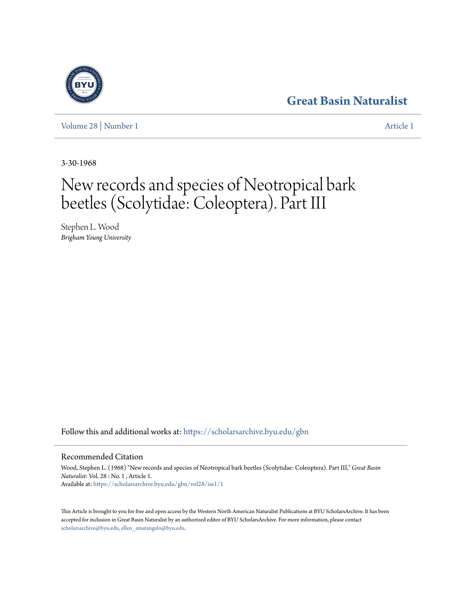## **[Great Basin Naturalist](https://scholarsarchive.byu.edu/gbn?utm_source=scholarsarchive.byu.edu%2Fgbn%2Fvol28%2Fiss1%2F1&utm_medium=PDF&utm_campaign=PDFCoverPages)**

[Volume 28](https://scholarsarchive.byu.edu/gbn/vol28?utm_source=scholarsarchive.byu.edu%2Fgbn%2Fvol28%2Fiss1%2F1&utm_medium=PDF&utm_campaign=PDFCoverPages) | [Number 1](https://scholarsarchive.byu.edu/gbn/vol28/iss1?utm_source=scholarsarchive.byu.edu%2Fgbn%2Fvol28%2Fiss1%2F1&utm_medium=PDF&utm_campaign=PDFCoverPages) [Article 1](https://scholarsarchive.byu.edu/gbn/vol28/iss1/1?utm_source=scholarsarchive.byu.edu%2Fgbn%2Fvol28%2Fiss1%2F1&utm_medium=PDF&utm_campaign=PDFCoverPages)

3-30-1968

# New records and species of Neotropical bark beetles (Scolytidae: Coleoptera). Part III

Stephen L. Wood *Brigham Young University*

Follow this and additional works at: [https://scholarsarchive.byu.edu/gbn](https://scholarsarchive.byu.edu/gbn?utm_source=scholarsarchive.byu.edu%2Fgbn%2Fvol28%2Fiss1%2F1&utm_medium=PDF&utm_campaign=PDFCoverPages)

## Recommended Citation

Wood, Stephen L. (1968) "New records and species of Neotropical bark beetles (Scolytidae: Coleoptera). Part III," *Great Basin Naturalist*: Vol. 28 : No. 1 , Article 1. Available at: [https://scholarsarchive.byu.edu/gbn/vol28/iss1/1](https://scholarsarchive.byu.edu/gbn/vol28/iss1/1?utm_source=scholarsarchive.byu.edu%2Fgbn%2Fvol28%2Fiss1%2F1&utm_medium=PDF&utm_campaign=PDFCoverPages)

This Article is brought to you for free and open access by the Western North American Naturalist Publications at BYU ScholarsArchive. It has been accepted for inclusion in Great Basin Naturalist by an authorized editor of BYU ScholarsArchive. For more information, please contact [scholarsarchive@byu.edu, ellen\\_amatangelo@byu.edu.](mailto:scholarsarchive@byu.edu,%20ellen_amatangelo@byu.edu)

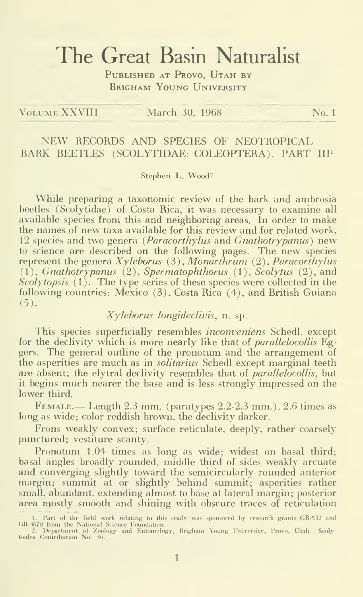# The Great Basin Naturalist

PUBLISHED AT PROVO, UTAH BY BRIGHAM YOUNG UNIVERSITY

VOLUME XXVIII March 30, 1968 No. 1

## NEW RECORDS AND SPECIES OF NEOTROPICAL BARK BEETLES (SCOLYTIDAE: COLEOPTERA). PART IIP

Stephen L. Wood<sup>2</sup>

While preparing a taxonomic review of the bark and ambrosia beetles (Scolytidae) of Costa Rica, it was necessary to examine all available species from this and neighboring areas. In order to make the names of new taxa available for this review and for related work, 12 species and two genera (Paracorthylus and Gnathotrypanus) new to science are described on the following pages. The new species represent the genera  $X$ yleborus (3), Monarthrum (2), Paracorthylus  $(1)$ , Gnathotrypanus  $(2)$ , Spermatophthorus  $(1)$ , Scolytus  $(2)$ , and  $Scolytopsis$  (1). The type series of these species were collected in the following countries: Mexico (3), Costa Rica (4), and British Guiana (5).

## Xyleborus longideclivis, n. sp.

This species superficially resembles *inconveniens* Schedl, except for the declivity which is more nearly like that of *parallelocollis* Eggers. The general outline of the pronotum and the arrangement of the asperities are much as in solitarius Schedl except marginal teeth are absent; the elytral declivity resembles that of *parallelocollis*, but it begins much nearer the base and is less strongly impressed on the lower third.

 $F_{EMALE.}$  Length 2.3 mm. (paratypes 2.2-2.3 mm.), 2.6 times as long as wide; color reddish brown, the declivity darker.

Frons weakly convex; surface reticulate, deeply, rather coarsely punctured; vestiture scanty.

Pronotum 1.04 times as long as wide; widest on basal third; basal angles broadly rounded, middle third of sides weakly arcuate and converging slightly toward the semicircularly rounded anterior margin; summit at or slightly behind summit; asperities rather small, abundant, extending almost to base at lateral margin; posterior area mostly smooth and shining with obscure traces of reticulation

<sup>1.</sup> Part of the field work relating to this study was sponsored by research grants GB-532 and<br>GB-3678 from the National Science Foundation.<br>CB-2. Department of Zoology and Entomology, Brigham Young University, Provo, Utah.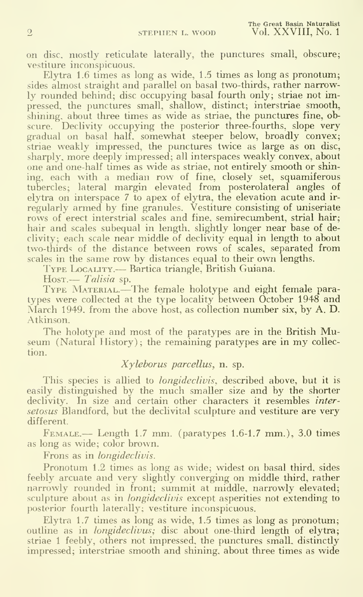on disc, mostly reticulate laterally, the punctures small, obscure; vestiture inconspicuous.

Elytra 1.6 times as long as wide, 1.5 times as long as pronotum; sides almost straight and parallel on basal two-thirds, rather narrowly rounded behind; disc occupying basal fourth only; striae not impressed, the punctures small, shallow, distinct; interstriae smooth, shining, about three times as wide as striae, the punctures fine, obscure. Declivity occupying the posterior three-fourths, slope very gradual on basal half, somewhat steeper below, broadly convex; striae weakly impressed, the punctures twice as large as on disc, sharply, more deeply impressed; all interspaces weakly convex, about one and one-half times as wide as striae, not entirely smooth or shining, each with a median row of fine, closely set, squamiferous tubercles; lateral margin elevated from posterolateral angles of elytra on interspace 7 to apex of elytra, the elevation acute and ir regularly armed by fine granules. Vestiture consisting of uniseriate rows of erect interstrial scales and fine, semirecumbent, strial hair; hair and scales subequal in length, slightly longer near base of declivity; each scale near middle of declivity equal in length to about two-thirds of the distance between rows of scales, separated from scales in the same row by distances equal to their own lengths.

Type Locality.--- Bartica triangle, British Guiana.<br>Host.--- *Talisia* sp.

TYPE MATERIAL.—The female holotype and eight female paratypes were collected at the type locality between October 1948 and March 1949, from the above host, as collection number six, by A. D. Atkinson.

The holotype and most of the paratypes are in the British Museum (Natural History); the remaining paratypes are in my collection.

## Xyleborus parcellus, n. sp.

This species is allied to *longideclivis*, described above, but it is easily distinguished by the much smaller size and by the shorter declivity. In size and certain other characters it resembles *inter*setosus Blandford, but the declivital sculpture and vestiture are very different.

Female.— Length 1.7 mm. (paratypes 1.6-1.7 mm.), 3.0 times as long as wide; color brown.

Frons as in longideclivis.

Pronotum 1.2 times as long as wide; widest on basal third, sides feebly arcuate and very slightly converging on middle third, rather narrowly rounded in front; summit at middle, narrowly elevated; sculpture about as in *longideclivis* except asperities not extending to posterior fourth laterally; vestiture inconspicuous.

Elytra 1.7 times as long as wide, 1.5 times as long as pronotum; outline as in *longideclivus*; disc about one-third length of elytra; striae <sup>1</sup> feebly, others not impressed, the punctures small, distinctly impressed; interstriae smooth and shining, about three times as wide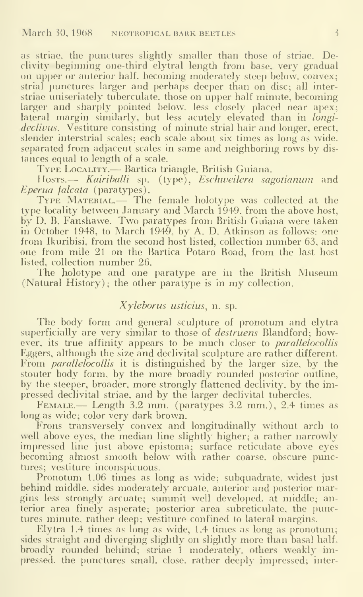as striae, the punctures slightly smaller than those of striae. Declivity beginning one-third elytral length from base, very gradual on upper or anterior half, becoming moderately steep below, convex; strial punctures larger and perhaps deeper than on disc; all interstriae uniseriately tuberculate. those on upper half minute, becoming larger and sharply pointed below, less closely placed near apex; lateral margin similarly, but less acutely elevated than in longideclivus. Vestiture consisting of minute strial hair and longer, erect, slender interstrial scales; each scale about six times as long as wide, separated from adjacent scales in same and neighboring rows by distances equal to length of a scale.

Type Locality.— Bartica triangle, British Guiana.

Hosts.— Kairiballi sp. (type), Eschweilera sagotianum and Eperua falcata (paratypes).

TYPE MATERIAL.— The female holotype was collected at the type locality between January and March 1949, from the above host, by D. B. Fanshawe. Two paratypes from British Guiana were taken in October 1948, to March 1949, by A. D. Atkinson as follows: one from Ikuribisi, from the second host listed, collection number 63, and one from mile 21 on the Bartica Potaro Road, from the last host listed, collection number 26.

The holotype and one paratype are in the British Museum (Natural History) ; the other paratype is in my collection.

## Xyleborus usticius, n. sp.

The body form and general sculpture of pronotum and elytra superficially are very similar to those of *destruens* Blandford; however, its true affinity appears to be much closer to *parallelocollis* Eggers, although the size and declivital sculpture are rather different. From *parallelocollis* it is distinguished by the larger size, by the stouter body form, by the more broadly rounded posterior outline, by the steeper, broader, more strongly flattened declivity, by the impressed declivital striae, and by the larger declivital tubercles.

FEMALE.— Length 3.2 mm. (paratypes 3.2 mm.), 2.4 times as long as wide; color very dark brown.

Frons transversely convex and longitudinally without arch to well above eyes, the median line slightly higher; a rather narrowly impressed line just above epistoma; surface reticulate above eyes becoming almost smooth below with rather coarse, obscure punctures; vestiture inconspicuous.

Pronotum 1.06 times as long as wide; subquadrate, widest just behind middle, sides moderately arcuate, anterior and posterior margins less strongly arcuate; summit well developed, at middle; anterior area finely asperate; posterior area subreticulate, the punctures minute, rather deep; vestiture confined to lateral margins.

Elytra 1.4 times as long as wide, 1.4 times as long as pronotum; sides straight and diverging slightly on slightly more than basal half, broadly rounded behind; striae <sup>1</sup> moderately, others weakly impressed, the punctures small, close, rather deeply impressed; inter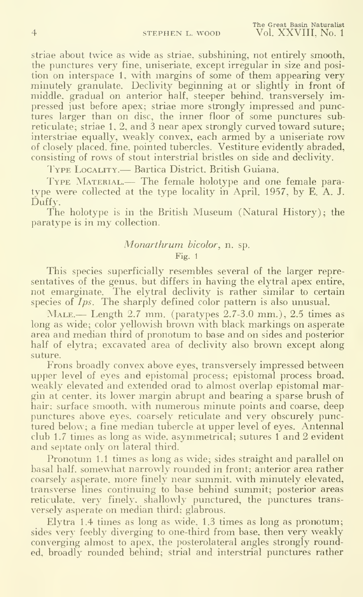striae about twice as wide as striae, subshining, not entirely smooth, the punctures very fine, uniseriate, except irregular in size and position on interspace 1, with margins of some of them appearing very minutely granulate. Declivity beginning at or slightly in front of middle, gradual on anterior half, steeper behind, transversely impressed iust before apex; striae more strongly impressed and punctures larger than on disc, the inner floor of some punctures subreticulate; striae 1, 2, and 3 near apex strongly curved toward suture; interstriae equally, weakly convex, each armed by a uniseriate row of closely placed, fine, pointed tubercles. Vestiture evidently abraded, consisting of rows of stout interstrial bristles on side and declivity.

Type Locality.— Bartica District, British Guiana.

TYPE MATERIAL.— The female holotype and one female paratype were collected at the type locality in April. 1957, by E. A. J. Duffy.

The holotype is in the British Museum (Natural History); the paratype is in my collection.

#### Monarthrum bicolor, n. sp.

Fig. <sup>1</sup>

This species superficially resembles several of the larger representatives of the genus, but differs in having the elytral apex entire, not emarginate. The elytral declivity is rather similar to certain species of  $I_{ps}$ . The sharply defined color pattern is also unusual.

Male.— Length 2.7 mm. (paratypes 2.7-3.0 mm.), 2.5 times as long as wide; color yellowish brown with black markings on asperate area and median third of pronotum to base and on sides and posterior half of elytra; excavated area of declivity also brown except along suture.

Frons broadly convex above eyes, transversely impressed between upper level of eyes and epistomal process; epistomal process broad, weakly elevated and extended orad to almost overlap epistomal margin at center, its lower margin abrupt and bearing a sparse brush of hair; surface smooth, with numerous minute points and coarse, deep punctures above eyes, coarsely reticulate and very obscurely punctured below; a fine median tubercle at upper level of eyes. Antennal club 1.7 times as long as wide, asymmetrical; sutures 1 and 2 evident and septate only on lateral third.

Pronotum 1.1 times as long as wide; sides straight and parallel on basal half, somewhat narrowly rounded in front; anterior area rather coarsely asperate, more finely near summit, with minutely elevated, transverse lines continuing to base behind summit; posterior areas reticulate, very finely, shallowly punctured, the punctures trans versely asperate on median third; glabrous.

Elytra 1.4 times as long as wide, 1.3 times as long as pronotum; sides very feebly diverging to one-third from base, then very weakly converging almost to apex, the posterolateral angles strongly rounded, broadly rounded behind; strial and interstrial punctures rather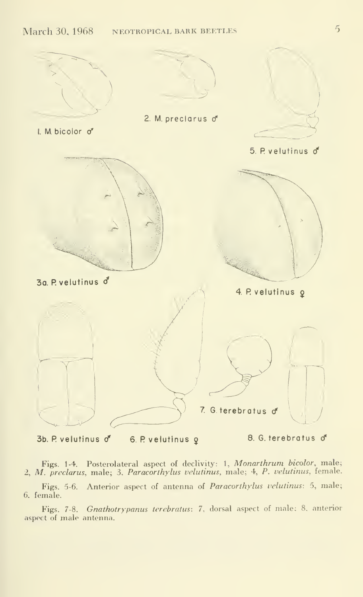

Figs. 1-4. Posterolateral aspect of declivity: 1, Monarthrum bicolor, male; 2, M. preclarus, male; 3, Paracorthylus velutinus, male; 4, P. velutinus, female.

Figs. 5-6. Anterior aspect of antenna of Paracorthylus velutinus: 5, male; 6. female.

Figs. 7-8. Gnathotrypanus terebratus: 7, dorsal aspect of male; 8, anterior aspect of male antenna.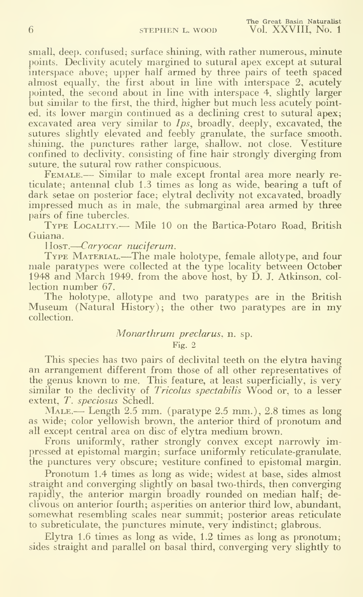small, deep, confused; surface shining, with rather numerous, minute points. Declivity acutely margined to sutural apex except at sutural interspace above; upper half armed by three pairs of teeth spaced almost equally, the first about in line with interspace 2, acutely pointed, the second about in line with interspace 4, slightly larger but similar to the first, the third, higher but much less acutely pointed, its lower margin continued as a declining crest to sutural apex; excavated area very similar to *Ips*, broadly, deeply, excavated, the sutures slightly elevated and feebly granulate, the surface smooth, shining, the punctures rather large, shallow, not close. Vestiture confined to declivity, consisting of fine hair strongly diverging from suture, the sutural row rather conspicuous.

FEMALE.— Similar to male except frontal area more nearly reticulate; antennal club 1.3 times as long as wide, bearing a tuft of dark setae on posterior face; elytral declivity not excavated, broadly impressed much as in male, the submarginal area armed by three pairs of fine tubercles.

Type Locality.— Mile <sup>10</sup> on the Bartica-Potaro Road, British Guiana.

Host.—Caryocar nuciferum.

TYPE MATERIAL.—The male holotype, female allotype, and four male paratypes were collected at the type locality between October 1948 and March 1949. from the above host, by D. J. Atkinson, col lection number 67.

The holotype, allotype and two paratypes are in the British  $M$ useum (Natural History); the other two paratypes are in my collection.

## Monarthrum preclarus, n. sp.

### Fig. 2

This species has two pairs of declivital teeth on the elytra having an arrangement different from those of all other representatives of the genus known to me. This feature, at least superficially, is very similar to the declivity of Tricolus spectabilis Wood or, to a lesser extent, T. speciosus Schedl.

 $\text{MALE.}$ — Length 2.5 mm. (paratype 2.5 mm.), 2.8 times as long as wdde; color yellowish brown, the anterior third of pronotum and all except central area on disc of elytra medium brown.

Frons uniformly, rather strongly convex except narrowly impressed at epistomal margin; surface uniformly reticulate-granulate, the punctures very obscure; vestiture confined to epistomal margin.

Pronotum 1.4 times as long as wide; widest at base, sides almost straight and converging slightly on basal two-thirds, then converging rapidly, the anterior margin broadly rounded on median half; de clivous on anterior fourth; asperities on anterior third low, abundant, somewhat resembling scales near summit; posterior areas reticulate to subreticulate, the punctures minute, very indistinct; glabrous.

Elytra 1.6 times as long as wide, 1.2 times as long as pronotum; sides straight and parallel on basal third, converging very slightly to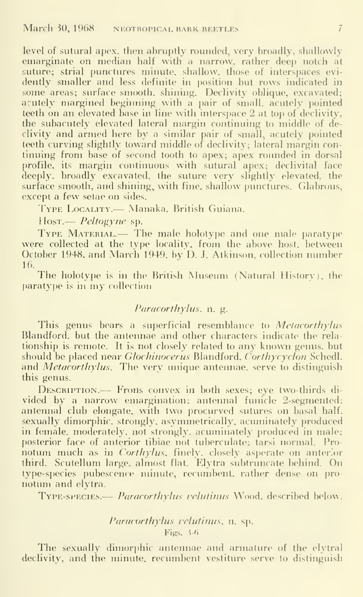level of sutural apex, then abruptly rounded, very broadly, shallowly eniarginate on median half with a narrow, rather deep notch at suture; strial punctures minute, shallow, those of interspaces evi dently smaller and less definite in position but rows indicated in some areas; surface smooth, shining. Declivity oblique, excavated; acutely margined beginning with a pair of small, acutely pointed teeth on an elevated base in line with interspace 2 at top of declivity, the subacutely elevated lateral margin continuing to middle of declivity and armed here by a similar pair of small, acutely pointed teeth curving slightly toward middle of declivity; lateral margin con tinuing from base of second tooth to apex; apex rounded in dorsal profile, its margin continuous with sutural apex; declivital face deeply, broadly excavated, the suture very slightly elevated, the surface smooth, and shining, with fine, shallow punctures. Glabrous, except a few setae on sides.

J'ype Locality. — Manaka. British Guiana.

<sup>I</sup> losT. — Peltogyne sp.

TYPE MATERIAL.— The male holotype and one male paratype were collected at the type locality, from the above host, between October 1948. and March 1949, by D. J. Atkinson, collection number 16.

The holotype is in the British Museum (Natural History), the paratype is in my collection

## Paracorthylus, n. g.

This genus bears a superficial resemblance to *Metacorthylus* Blandford. but the antennae and other characters indicate the relationship is remote. It is not closely related to any known genus, but should be placed near *Glochinocerus* Blandford, Corthycyclon Schedl. and *Metacorthylus*. The very unique antennae, serve to distinguish this genus.

DESCRIPTION.— Frons convex in both sexes; eye two-thirds divided by a narrow emargination; antennal funicle 2-segmented; antennal club elongate, with two procurved sutures on basal half, sexually dimorphic. strongly, asymmetrically, acuminately produced in female, moderately, not strongly, acuminately produced in male; posterior face of anterior tibiae not tuberculate; tarsi normal. Pronotum much as in *Corthylus*, finely, closely asperate on anterior third. Scutellum large, almost flat. Elytra subtruncate behind. On type-species pubescence minute, recumbent, rather dense on pronotum and elytra.

TYPE-SPECIES.— Paracorthylus velutinus Wood, described below.

## Paracorthylus velutinus, n. sp. Figs. 3-6

The sexually dimorphic antennae and armature of the elytral declivity, and the minute, recumbent vestiture serve to distinguish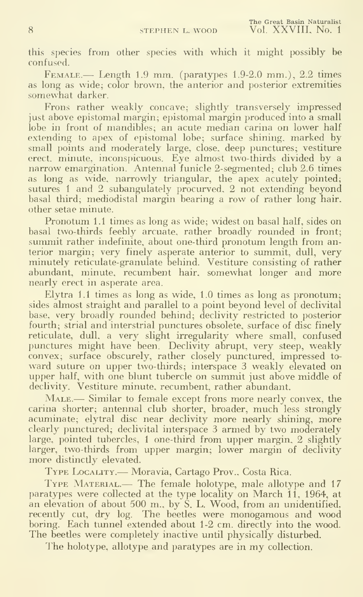this species from other species with which it might possibly be confused.

FEMALE.— Length 1.9 mm. (paratypes 1.9-2.0 mm.), 2.2 times as long as wide; color brown, the anterior and posterior extremities somewhat darker.

Frons rather weakly concave; slightly transversely impressed just above epistomal margin; epistomal margin produced into a small lobe in front of mandibles; an acute median carina on lower half extending to apex of epistomal lobe; surface shining, marked by small points and moderately large, close, deep punctures; vestiture erect, minute, inconspicuous. Eye almost two-thirds divided by a narrow emargination. Antennal funicle 2-segmented; club 2.6 times as long as wide, narrowly triangular, the apex acutely pointed; sutures <sup>1</sup> and 2 subangulately procurved, 2 not extending beyond basal third; mediodistal margin bearing a row of rather long hair. other setae minute.

Pronotum 1.1 times as long as wide; widest on basal half, sides on basal two-thirds feebly arcuate, rather broadly rounded in front; summit rather indefinite, about one-third pronotum length from anterior margin; very finely asperate anterior to summit, dull, very minutely reticulate-granulate behind. Vestiture consisting of rather abundant, minute, recumbent hair, somewhat longer and more nearly erect in asperate area.

Elytra 1.1 times as long as wide, 1.0 times as long as pronotum; sides almost straight and parallel to a point beyond level of declivital base, very broadly rounded behind; declivity restricted to posterior fourth; strial and interstrial punctures obsolete, surface of disc finely reticulate, dull, a very slight irregularity where small, confused punctures might have been. Declivity abrupt, very steep, weakly convex; surface obscurely, rather closely punctured, impressed to ward suture on upper two-thirds; interspace 3 weakly elevated on upper half, with one blunt tubercle on summit just above middle of declivity. Vestiture minute, recumbent, rather abundant.

MALE.— Similar to female except frons more nearly convex, the carina shorter; antennal club shorter, broader, much less strongly acuminate; elytral disc near declivity more nearly shining, more clearly punctured; declivital interspace 3 armed by two moderately large, pointed tubercles, <sup>1</sup> one-third from upper margin, 2 slightly larger, two-thirds from upper margin; lower margin of declivity more distinctly elevated.

Type Locality.— Moravia, Cartago Prov., Costa Rica.

TYPE MATERIAL.— The female holotype, male allotype and 17 paratypes were collected at the type locality on March 11, 1964, at an elevation of about 500 m., by S. L. Wood, from an unidentified, recently cut, dry log. The beetles were monogamous and wood boring. Each tunnel extended about 1-2 cm. directly into the wood. The beetles were completely inactive until physically disturbed.

The holotype, allotype and paratypes are in my collection.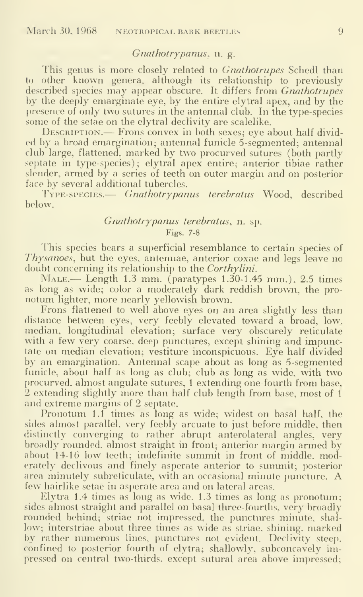### Gnathotry panus, n. g.

This genus is more closely related to *Gnathotrupes* Schedl than to other known genera, although its relationship to previously described species may appear obscure. It differs from Gnathotrupes by the deeply emarginate eye, by the entire elytral apex, and by the presence of only two sutures in the antennal club. In the type-species some of the setae on the elytral declivity are scalelike.

DESCRIPTION.— Frons convex in both sexes; eye about half divided by a broad emargination; antennal funicle 5-segmented; antennal club large, flattened, marked by two procurved sutures (both partly septate in type-species); elytral apex entire; anterior tibiae rather slender, armed by a series of teeth on outer margin and on posterior face by several additional tubercles.

Type-species.— Gnathotrypanus terebratus Wood, described below.

## Gnathotrypanus terebratus, n. sp.

Figs. 7-8

This species bears a superficial resemblance to certain species of Thysanoes, but the eyes, antennae, anterior coxae and legs leave no doubt concerning its relationship to the Corthylini.

 $N_{ALE.}$  Length 1.3 mm. (paratypes 1.30-1.45 mm.), 2.5 times as long as wide; color a moderately dark reddish brown, the pro notum lighter, more nearly yellowish brown.

Frons flattened to well above eyes on an area slightly less than distance between eyes, very feebly elevated toward a broad, low, median, longitudinal elevation; surface very obscurely reticulate with a few very coarse, deep punctures, except shining and impunctate on median elevation; vestiture inconspicuous. Eye half divided by an emargination. Antennal scape about as long as 5-segmented funicle, about half as long as club; club as long as wide, with two procurved, almost angulate sutures, 1 extending one-fourth from base, 2 extending slightly more than half club length from base, most of <sup>1</sup> and extreme margins of 2 septate.

Pronotum 1.1 times as long as wide; widest on basal half, the sides almost parallel, very feebly arcuate to just before middle, then distinctly converging to rather abrupt anterolateral angles, very broadly rounded, almost straight in front; anterior margin armed by about 14-16 low teeth; indefinite summit in front of middle, moderately declivous and finely asperate anterior to summit; posterior area minutely subreticulate, with an occasional minute puncture. A few hairlike setae in asperate area and on lateral areas.

Elytra 1.4 times as long as wide, 1.3 times as long as pronotum; sides almost straight and parallel on basal three-fourths, very broadly rounded behind; striae not impressed, the punctures minute, shal low; interstriae about three times as wide as striae, shining, marked by rather numerous lines, punctures not evident. Declivity steep, confined to posterior fourth of elytra; shallowly, subconcavely impressed on central two-thirds, except sutural area above impressed;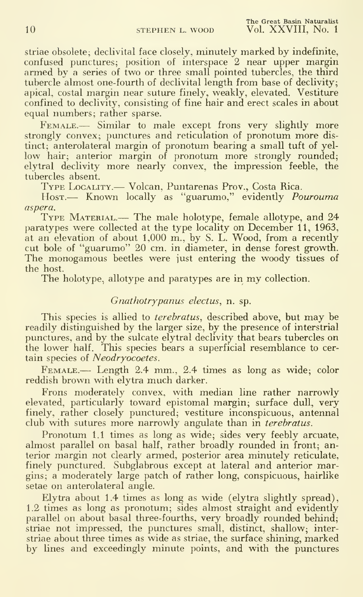The Great Basin Naturalist 10 STEPHEN L. WOOD Vol. XXVIII, No. 1

Striae obsolete; declivital face closely, minutely marked by indefinite, confused punctures; position of interspace 2 near upper margin armed by a series of two or three small pointed tubercles, the third tubercle almost one-fourth of declivital length from base of declivity; apical, costal margin near suture finely, weakly, elevated. Vestiture confined to declivity, consisting of fine hair and erect scales in about equal numbers; rather sparse.

FEMALE.— Similar to male except frons very slightly more strongly convex; punctures and reticulation of pronotum more dis tinct; anterolateral margin of pronotum bearing a small tuft of yellow hair; anterior margin of pronotum more strongly rounded; elytral declivity more nearly convex, the impression feeble, the tubercles absent.

Type Locality.— Volcan, Puntarenas Prov., Costa Rica.

Host.— Known locally as "guarumo," evidently *Pourouma* aspera.

TYPE MATERIAL.— The male holotype, female allotype, and 24 paratypes were collected at the type locality on December 11, 1963, at an elevation of about 1,000 m., by S. L. Wood, from a recently cut bole of "guarumo" 20 cm. in diameter, in dense forest growth. The monogamous beetles were just entering the woody tissues of the host.

The holotype, allotype and paratypes are in my collection.

#### Gnathotrypanus electus, n. sp.

This species is allied to *terebratus*, described above, but may be readily distinguished by the larger size, by the presence of interstrial punctures, and by the sulcate elytral declivity that bears tubercles on the lower half. This species bears a superficial resemblance to cer tain species of Neodryocoetes.

FEMALE.-- Length 2.4 mm., 2.4 times as long as wide; color reddish brown with elytra much darker.

Frons moderately convex, with median line rather narrowly elevated, particularly toward epistomal margin; surface dull, very finely, rather closely punctured; vestiture inconspicuous, antennal club with sutures more narrowly angulate than in *terebratus*.

Pronotum 1.1 times as long as wide; sides very feebly arcuate, almost parallel on basal half, rather broadly rounded in front; anterior margin not clearly armed, posterior area minutely reticulate, finely punctured. Subglabrous except at lateral and anterior margins; a moderately large patch of rather long, conspicuous, hairlike setae on anterolateral angle.

Elytra about 1.4 times as long as wide (elytra slightly spread), 1.2 times as long as pronotum; sides almost straight and evidently parallel on about basal three-fourths, very broadly rounded behind; striae not impressed, the punctures small, distinct, shallow; interstriae about three times as wide as striae, the surface shining, marked by lines and exceedingly minute points, and with the punctures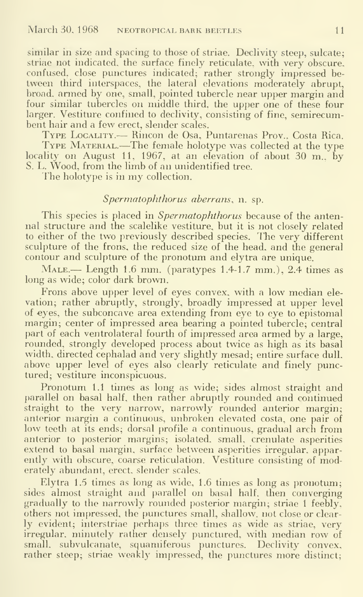similar in size and spacing to those of striae. Declivity steep, sulcate; striae not indicated, the surface finely reticulate, with very obscure, confused, close punctures indicated; rather strongly impressed be tween third interspaces, the lateral elevations moderately abrupt, broad, armed by one, small, pointed tubercle near upper margin and four similar tubercles on middle third, the upper one of these four larger. Vestiture confined to declivity, consisting of fine, semirecumbent hair and a few erect, slender scales.

t nair and a rew erect, siender scaies.<br>Type Locality.— Rincon de Osa, Puntarenas Prov., Costa Rica. TYPE LOCALITY.— KINCON de Osa, Puntarenas Prov., Costa Kica.<br>TYPE MATERIAL.—The female holotype was collected at the type locality on August 11, 1967, at an elevation of about 30 m., by S. L. Wood, from the limb of an unidentified tree.

The holotype is in my collection.

#### Spermatophthorus aberrans, n. sp.

This species is placed in *Spermatophthorus* because of the antennal structure and the scalelike vestiture. but it is not closely related to either of the two previously described species. The very different sculpture of the frons, the reduced size of the head, and the general contour and sculpture of the pronotum and elytra are unique.

 $\text{MALE.}$ — Length 1.6 mm. (paratypes 1.4-1.7 mm.), 2.4 times as long as wide; color dark brown.

Frons above upper level of eyes convex, with a low median ele vation; rather abruptly, strongly, broadly impressed at upper level of eyes, the subconcave area extending from eye to eye to epistomal margin; center of impressed area bearing a pointed tubercle; central part of each ventrolateral fourth of impressed area armed by a large, rounded, strongly developed process about twice as high as its basal width, directed cephalad and very slightly mesad; entire surface dull, above upper level of eyes also clearly reticulate and finely punctured; vestiture inconspicuous.

Pronotum 1.1 times as long as wide; sides almost straight and parallel on basal half, then rather abruptly rounded and continued straight to the very narrow, narrowly rounded anterior margin; anterior margin a continuous, unbroken elevated costa, one pair of low teeth at its ends; dorsal profile a continuous, gradual arch from anterior to posterior margins; isolated, small, crenulate asperities extend to basal margin, surface between asperities irregular, apparently with obscure, coarse reticulation. Vestiture consisting of moderately abundant, erect, slender scales.

Elytra 1.5 times as long as wide, 1.6 times as long as pronotum; sides almost straight and parallel on basal half, then converging gradually to the narrowly rounded posterior margin; striae <sup>1</sup> feebly, others not impressed, the punctures small, shallow, not close or clear ly evident; interstriae perhaps three times as wide as striae, very irregular, minutely rather densely punctured, with median row of small, subvulcanate, squamiferous punctures. Declivity convex, rather steep; striae weakly impressed, the punctures more distinct;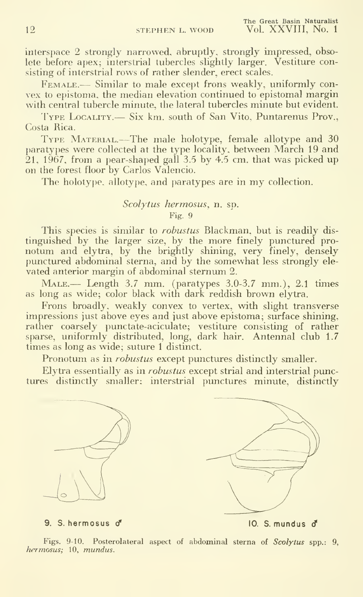interspace 2 strongly narrowed, abruptly, strongly impressed, obsolete before apex; interstrial tubercles slightly larger. Vestiture consisting of interstrial rows of rather slender, erect scales.

FEMALE.— Similar to male except frons weakly, uniformly convex to epistoma. the median elevation continued to epistomal margin with central tubercle minute, the lateral tubercles minute but evident.

Iype Locality.— Six km. south of San Vito, Puntarenus Prov., Costa Rica.

Type Material.—The male holotype, female allotype and <sup>30</sup> paratypes were collected at the type locality, between March 19 and 21, 1967, from a pear-shaped gall  $3.5$  by  $4.5$  cm, that was picked up on the forest floor by Carlos Valencio.

The holotype, allotype, and paratypes are in my collection.

## Scolytus hermosus, n. sp. Fig. 9

This species is similar to *robustus* Blackman, but is readily distinguished by the larger size, by the more finely punctured pro notum and elytra, by the brightly shining, very finely, densely punctured abdominal sterna, and by the somewhat less strongly ele vated anterior margin of abdominal sternum 2.

MALE.— Length 3.7 mm. (paratypes 3.0-3.7 mm.), 2.1 times<br>as long as wide; color black with dark reddish brown elytra.

Frons broadly, weakly convex to vertex, with slight transverse impressions just above eyes and just above epistoma; surface shining, rather coarsely punctate-aciculate; vestiture consisting of rather sparse, uniformly distributed, long, dark hair. Antennal club 1.7 times as long as wide; suture 1 distinct.

Pronotum as in *robustus* except punctures distinctly smaller.

Elytra essentially as in robustus except strial and interstrial punctures distinctly smaller; interstrial punctures minute, distinctly





9. S. hermosus if 10. S. mundus <f

Figs. 9-10. Posterolateral aspect of abdominal sterna of Scolytus spp.: 9, hermosus; 10, mundus.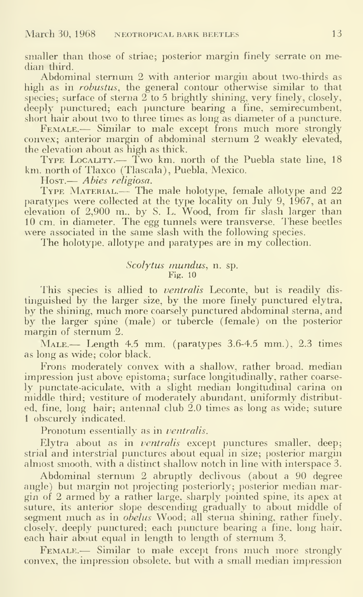smaller than those of striae; posterior margin finely serrate on median third.

Abdominal sternum 2 with anterior margin about two-thirds as high as in *robustus*, the general contour otherwise similar to that species; surface of sterna  $2$  to 5 brightly shining, very finely, closely, deeply punctured; each puncture bearing a fine, semirecumbent, short hair about two to three times as long as diameter of a puncture.

FEMALE.— Similar to male except frons much more strongly convex; anterior margin of abdominal sternum 2 weakly elevated, the elevation about as high as thick.

Type Locality.— Two km. north of the Puebla state line, <sup>18</sup> km. north of Tlaxco (Tlascala), Puebla, Mexico.

Host.— Abies religiosa.

TYPE MATERIAL.— The male holotype, female allotype and 22 paratypes were collected at the type locality on July 9, 1967, at an elevation of 2,900 m., by S. L. Wood, from fir slash larger than 10 cm. in diameter. The egg tunnels were transverse. These beetles were associated in the same slash with the following species.

The holotype. allotype and paratypes are in my collection.

#### Scolytus mundus, n. sp. Fig. 10

This species is allied to ventralis Leconte, but is readily distinguished by the larger size, by the more finely punctured elytra, by the shining, much more coarsely punctured abdominal sterna, and by the larger spine (male) or tubercle (female) on the posterior margin of sternum 2.

MALE.— Length 4.5 mm. (paratypes 3.6-4.5 mm.), 2.3 times as long as wide; color black.

Frons moderately convex with a shallow, rather broad, median impression just above epistoma; surface longitudinally, rather coarsely punctate-aciculate, with a slight median longitudinal carina on middle third; vestiture of moderately abundant, uniformly distributed, fine, long hair; antennal club 2.0 times as long as wide; suture <sup>1</sup> obscurely indicated.

Pronotum essentially as in *ventralis*.

Elytra about as in ventralis except punctures smaller, deep; strial and interstrial punctures about equal in size; posterior margin almost smooth, with a distinct shallow notch in line with interspace 3.

Abdominal sternum 2 abruptly declivous (about a 90 degree angle) but margin not projecting posteriorly; posterior median margin of 2 armed by a rather large, sharply pointed spine, its apex at  $\hspace{0.1mm}$ suture, its anterior slope descending gradually to about middle of segment much as in *obelus* Wood; all sterna shining, rather finely, closely, deeply punctured; each puncture bearing a fine, long hair, each hair about equal in length to length of sternum 3.

FEMALE.— Similar to male except frons much more strongly convex, the impression obsolete, but with a small median impression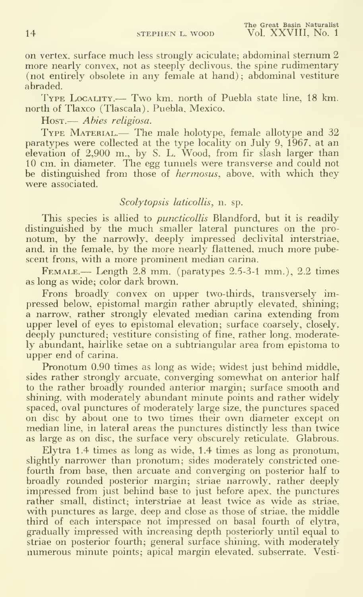on vertex, surface much less strongly aciculate; abdominal sternum 2 more nearly convex, not as steeply declivous, the spine rudimentary (not entirely obsolete in any female at hand); abdominal vestiture abraded.

Type Locality.— Two km. north of Puebla state line, <sup>18</sup> km. north of Tlaxco (Tlascala), Puebla, Mexico.

Host.— Abies religiosa.

TYPE MATERIAL.— The male holotype, female allotype and 32 paratypes were collected at the type locality on July 9, 1967, at an elevation of 2,900 m., by S. L. Wood, from fir slash larger than 10 cm. in diameter. The egg tunnels were transverse and could not be distinguished from those of hermosus, above, with which they were associated.

## Scolytopsis laticollis, n. sp.

This species is allied to *puncticollis* Blandford, but it is readily distinguished by the much smaller lateral punctures on the pronotum, by the narrowly, deeply impressed declivital interstriae, and, in the female, by the more nearly flattened, much more pubescent frons, with a more prominent median carina.

Female.— Length 2.8 mm. (paratypes 2.5-3-1 mm.), 2.2 times as long as wide; color dark brown.

Frons broadly convex on upper two-thirds, transversely impressed below, epistomal margin rather abruptly elevated, shining; a narrow, rather strongly elevated median carina extending from upper level of eyes to epistomal elevation; surface coarsely, closely, deeply punctured; vestiture consisting of fine, rather long, moderately abundant, hairlike setae on a subtriangular area from epistoma to upper end of carina.

Pronotum 0.90 times as long as wide; widest just behind middle, sides rather strongly arcuate, converging somewhat on anterior half to the rather broadly rounded anterior margin; surface smooth and shining, with moderately abundant minute points and rather widely spaced, oval punctures of moderately large size, the punctures spaced on disc by about one to two times their own diameter except on median line, in lateral areas the punctures distinctly less than twice as large as on disc, the surface very obscurely reticulate. Glabrous.

Elytra 1.4 times as long as wide, 1.4 times as long as pronotum, slightly narrower than pronotum; sides moderately constricted onefourth from base, then arcuate and converging on posterior half to broadly rounded posterior margin; striae narrowly, rather deeply impressed from just behind base to just before apex, the punctures rather small, distinct; interstriae at least twice as wide as striae, with punctures as large, deep and close as those of striae, the middle third of each interspace not impressed on basal fourth of elytra, gradually impressed with increasing depth posteriorly until equal to striae on posterior fourth; general surface shining, with moderately numerous minute points; apical margin elevated, subserrate. Vesti